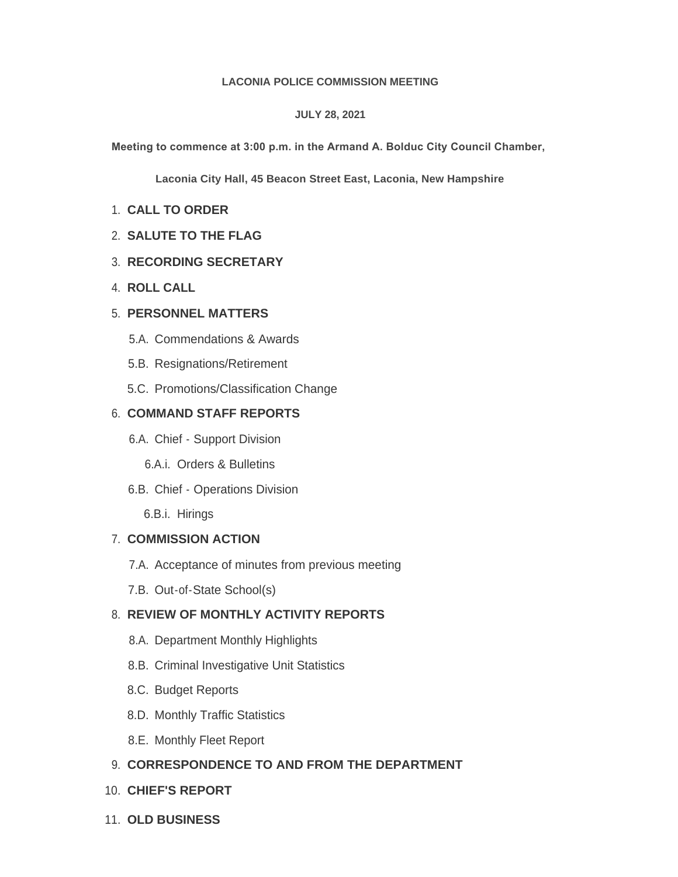#### **LACONIA POLICE COMMISSION MEETING**

#### **JULY 28, 2021**

**Meeting to commence at 3:00 p.m. in the Armand A. Bolduc City Council Chamber,** 

**Laconia City Hall, 45 Beacon Street East, Laconia, New Hampshire**

- **CALL TO ORDER** 1.
- **SALUTE TO THE FLAG** 2.
- **RECORDING SECRETARY** 3.
- **ROLL CALL** 4.

# **PERSONNEL MATTERS** 5.

- 5.A. Commendations & Awards
- 5.B. Resignations/Retirement
- 5.C. Promotions/Classification Change

## **COMMAND STAFF REPORTS** 6.

- 6.A. Chief Support Division
	- 6.A.i. Orders & Bulletins
- 6.B. Chief Operations Division

6.B.i. Hirings

# **COMMISSION ACTION** 7.

- 7.A. Acceptance of minutes from previous meeting
- 7.B. Out-of-State School(s)

# **REVIEW OF MONTHLY ACTIVITY REPORTS** 8.

- 8.A. Department Monthly Highlights
- 8.B. Criminal Investigative Unit Statistics
- 8.C. Budget Reports
- 8.D. Monthly Traffic Statistics
- 8.E. Monthly Fleet Report

# **CORRESPONDENCE TO AND FROM THE DEPARTMENT** 9.

- **CHIEF'S REPORT** 10.
- **OLD BUSINESS** 11.